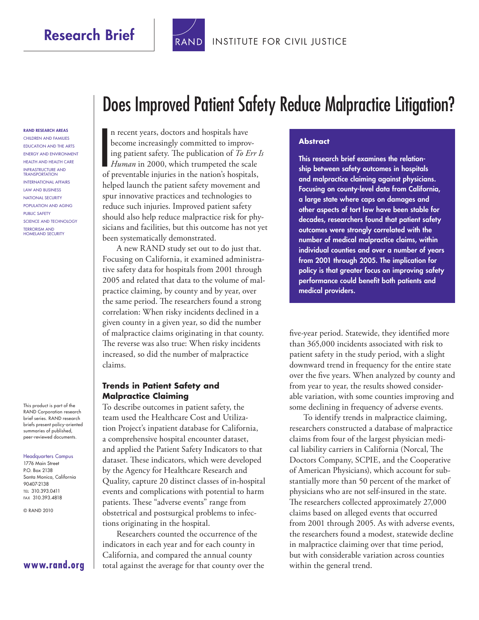## Research Brief



#### [INSTITUTE FOR CIVIL JUSTICE](http://www.rand.org/pdfrd/icj/)

RAND RESEARCH AREAS Children and Families Education and the Arts Energy and Environment Health and Health Care Infrastructure and **TRANSPORTATION** International Affairs Law and Business National Security Population and Aging Public Safety Science and Technology Terrorism and Homeland Security

This product is part of the RAND Corporation research brief series. RAND research briefs present policy-oriented summaries of published, peer-reviewed documents.

#### Headquarters Campus

1776 Main Street P.O. Box 2138 Santa Monica, California 90407-2138 Tel 310.393.0411 Fax 310.393.4818

© RAND 2010

#### **[www.rand.org](http://www.rand.org)**

# Does Improved Patient Safety Reduce Malpractice Litigation?

**I** n recent years, doctors and hospitals have become increasingly committed to improving patient safety. The publication of *To Err Is Human* in 2000, which trumpeted the scale of preventable injuries in the nation's hospitals, helped launch the patient safety movement and spur innovative practices and technologies to reduce such injuries. Improved patient safety should also help reduce malpractice risk for physicians and facilities, but this outcome has not yet been systematically demonstrated.

A new RAND study set out to do just that. Focusing on California, it examined administrative safety data for hospitals from 2001 through 2005 and related that data to the volume of malpractice claiming, by county and by year, over the same period. The researchers found a strong correlation: When risky incidents declined in a given county in a given year, so did the number of malpractice claims originating in that county. The reverse was also true: When risky incidents increased, so did the number of malpractice claims.

#### **Trends in Patient Safety and Malpractice Claiming**

To describe outcomes in patient safety, the team used the Healthcare Cost and Utilization Project's inpatient database for California, a comprehensive hospital encounter dataset, and applied the Patient Safety Indicators to that dataset. These indicators, which were developed by the Agency for Healthcare Research and Quality, capture 20 distinct classes of in-hospital events and complications with potential to harm patients. These "adverse events" range from obstetrical and postsurgical problems to infections originating in the hospital.

Researchers counted the occurrence of the indicators in each year and for each county in California, and compared the annual county total against the average for that county over the

#### **Abstract**

This research brief examines the relationship between safety outcomes in hospitals and malpractice claiming against physicians. Focusing on county-level data from California, a large state where caps on damages and other aspects of tort law have been stable for decades, researchers found that patient safety outcomes were strongly correlated with the number of medical malpractice claims, within individual counties and over a number of years from 2001 through 2005. The implication for policy is that greater focus on improving safety performance could benefit both patients and medical providers.

five-year period. Statewide, they identified more than 365,000 incidents associated with risk to patient safety in the study period, with a slight downward trend in frequency for the entire state over the five years. When analyzed by county and from year to year, the results showed considerable variation, with some counties improving and some declining in frequency of adverse events.

To identify trends in malpractice claiming, researchers constructed a database of malpractice claims from four of the largest physician medical liability carriers in California (Norcal, The Doctors Company, SCPIE, and the Cooperative of American Physicians), which account for substantially more than 50 percent of the market of physicians who are not self-insured in the state. The researchers collected approximately 27,000 claims based on alleged events that occurred from 2001 through 2005. As with adverse events, the researchers found a modest, statewide decline in malpractice claiming over that time period, but with considerable variation across counties within the general trend.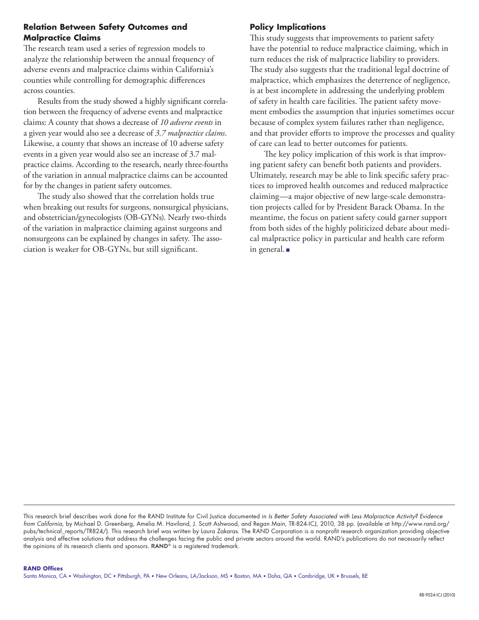#### **Relation Between Safety Outcomes and Malpractice Claims**

The research team used a series of regression models to analyze the relationship between the annual frequency of adverse events and malpractice claims within California's counties while controlling for demographic differences across counties.

Results from the study showed a highly significant correlation between the frequency of adverse events and malpractice claims: A county that shows a decrease of *10 adverse events* in a given year would also see a decrease of *3.7 malpractice claims*. Likewise, a county that shows an increase of 10 adverse safety events in a given year would also see an increase of 3.7 malpractice claims. According to the research, nearly three-fourths of the variation in annual malpractice claims can be accounted for by the changes in patient safety outcomes.

The study also showed that the correlation holds true when breaking out results for surgeons, nonsurgical physicians, and obstetrician/gynecologists (OB-GYNs). Nearly two-thirds of the variation in malpractice claiming against surgeons and nonsurgeons can be explained by changes in safety. The association is weaker for OB-GYNs, but still significant.

### **Policy Implications**

This study suggests that improvements to patient safety have the potential to reduce malpractice claiming, which in turn reduces the risk of malpractice liability to providers. The study also suggests that the traditional legal doctrine of malpractice, which emphasizes the deterrence of negligence, is at best incomplete in addressing the underlying problem of safety in health care facilities. The patient safety movement embodies the assumption that injuries sometimes occur because of complex system failures rather than negligence, and that provider efforts to improve the processes and quality of care can lead to better outcomes for patients.

The key policy implication of this work is that improving patient safety can benefit both patients and providers. Ultimately, research may be able to link specific safety practices to improved health outcomes and reduced malpractice claiming—a major objective of new large-scale demonstration projects called for by President Barack Obama. In the meantime, the focus on patient safety could garner support from both sides of the highly politicized debate about medical malpractice policy in particular and health care reform in general. ■

This research brief describes work done for the RAND Institute for Civil Justice documented in *Is Better Safety Associated with Less Malpractice Activity? Evidence from California*, by Michael D. Greenberg, Amelia M. Haviland, J. Scott Ashwood, and Regan Main, TR-824-ICJ, 2010, 38 pp. (available at [http://www.rand.org/](http://www.rand.org/pubs/technical_reports/TR824/) pubs/technical reports/TR824/). This research brief was written by Laura Zakaras. The RAND Corporation is a nonprofit research organization providing objective analysis and effective solutions that address the challenges facing the public and private sectors around the world. RAND's publications do not necessarily reflect the opinions of its research clients and sponsors. RAND® is a registered trademark.